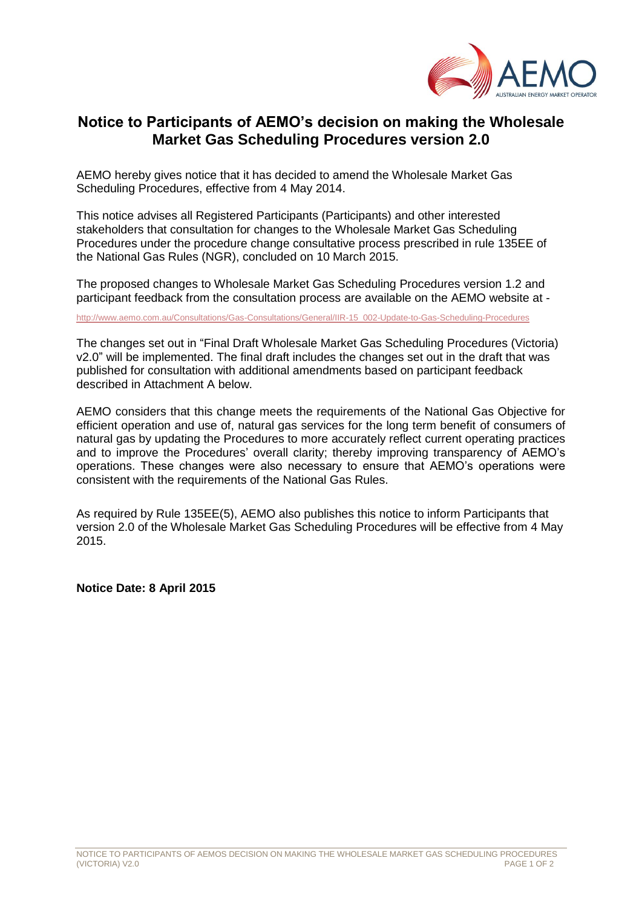

## **Notice to Participants of AEMO's decision on making the Wholesale Market Gas Scheduling Procedures version 2.0**

AEMO hereby gives notice that it has decided to amend the Wholesale Market Gas Scheduling Procedures, effective from 4 May 2014.

This notice advises all Registered Participants (Participants) and other interested stakeholders that consultation for changes to the Wholesale Market Gas Scheduling Procedures under the procedure change consultative process prescribed in rule 135EE of the National Gas Rules (NGR), concluded on 10 March 2015.

The proposed changes to Wholesale Market Gas Scheduling Procedures version 1.2 and participant feedback from the consultation process are available on the AEMO website at -

[http://www.aemo.com.au/Consultations/Gas-Consultations/General/IIR-15\\_002-Update-to-Gas-Scheduling-Procedures](http://www.aemo.com.au/Consultations/Gas-Consultations/General/IIR-15_002-Update-to-Gas-Scheduling-Procedures)

The changes set out in "Final Draft [Wholesale Market Gas Scheduling Procedures \(Victoria\)](http://www.aemo.com.au/Consultations/Gas-Consultations/General/~/media/Files/Gas/Consultations/General/2015/Draft%20Wholesale%20Market%20Gas%20Scheduling%20Procedures%20Victoria%20v20.ashx)  [v2.0"](http://www.aemo.com.au/Consultations/Gas-Consultations/General/~/media/Files/Gas/Consultations/General/2015/Draft%20Wholesale%20Market%20Gas%20Scheduling%20Procedures%20Victoria%20v20.ashx) will be implemented. The final draft includes the changes set out in the draft that was published for consultation with additional amendments based on participant feedback described in Attachment A below.

AEMO considers that this change meets the requirements of the National Gas Objective for efficient operation and use of, natural gas services for the long term benefit of consumers of natural gas by updating the Procedures to more accurately reflect current operating practices and to improve the Procedures' overall clarity; thereby improving transparency of AEMO's operations. These changes were also necessary to ensure that AEMO's operations were consistent with the requirements of the National Gas Rules.

As required by Rule 135EE(5), AEMO also publishes this notice to inform Participants that version 2.0 of the Wholesale Market Gas Scheduling Procedures will be effective from 4 May 2015.

**Notice Date: 8 April 2015**